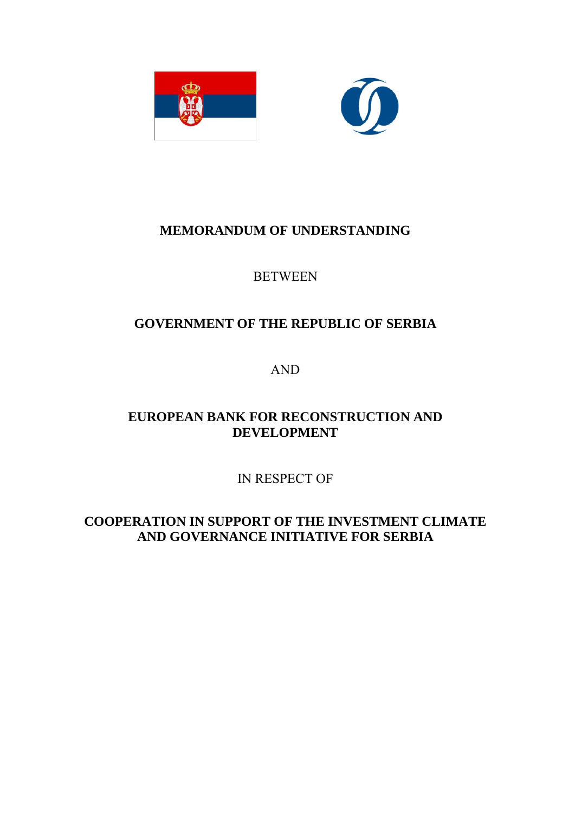



# **MEMORANDUM OF UNDERSTANDING**

## **BETWEEN**

# **GOVERNMENT OF THE REPUBLIC OF SERBIA**

AND

# **EUROPEAN BANK FOR RECONSTRUCTION AND DEVELOPMENT**

IN RESPECT OF

**COOPERATION IN SUPPORT OF THE INVESTMENT CLIMATE AND GOVERNANCE INITIATIVE FOR SERBIA**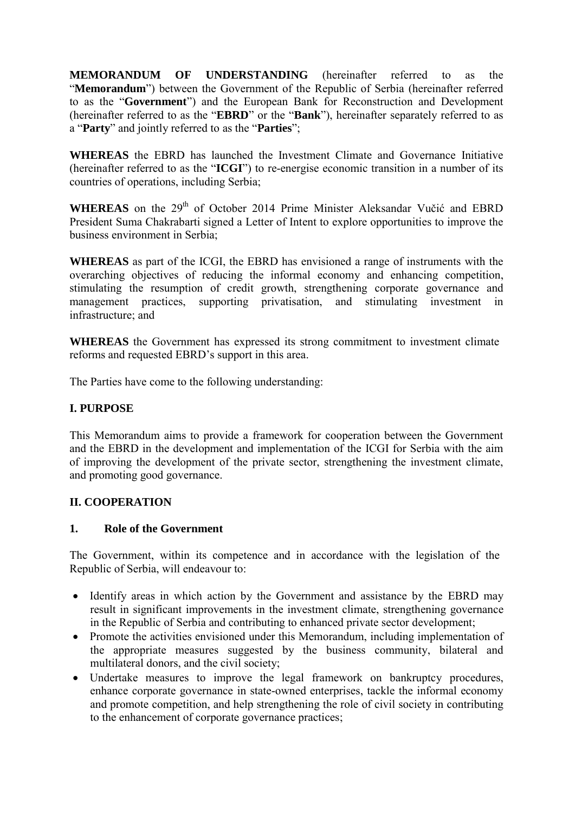**MEMORANDUM OF UNDERSTANDING** (hereinafter referred to as the "**Memorandum**") between the Government of the Republic of Serbia (hereinafter referred to as the "**Government**") and the European Bank for Reconstruction and Development (hereinafter referred to as the "**EBRD**" or the "**Bank**"), hereinafter separately referred to as a "**Party**" and jointly referred to as the "**Parties**";

**WHEREAS** the EBRD has launched the Investment Climate and Governance Initiative (hereinafter referred to as the "**ICGI**") to re-energise economic transition in a number of its countries of operations, including Serbia;

**WHEREAS** on the 29<sup>th</sup> of October 2014 Prime Minister Aleksandar Vučić and EBRD President Suma Chakrabarti signed a Letter of Intent to explore opportunities to improve the business environment in Serbia;

**WHEREAS** as part of the ICGI, the EBRD has envisioned a range of instruments with the overarching objectives of reducing the informal economy and enhancing competition, stimulating the resumption of credit growth, strengthening corporate governance and management practices, supporting privatisation, and stimulating investment in infrastructure; and

**WHEREAS** the Government has expressed its strong commitment to investment climate reforms and requested EBRD's support in this area.

The Parties have come to the following understanding:

## **I. PURPOSE**

This Memorandum aims to provide a framework for cooperation between the Government and the EBRD in the development and implementation of the ICGI for Serbia with the aim of improving the development of the private sector, strengthening the investment climate, and promoting good governance.

## **II. COOPERATION**

### **1. Role of the Government**

The Government, within its competence and in accordance with the legislation of the Republic of Serbia, will endeavour to:

- Identify areas in which action by the Government and assistance by the EBRD may result in significant improvements in the investment climate, strengthening governance in the Republic of Serbia and contributing to enhanced private sector development;
- Promote the activities envisioned under this Memorandum, including implementation of the appropriate measures suggested by the business community, bilateral and multilateral donors, and the civil society;
- Undertake measures to improve the legal framework on bankruptcy procedures, enhance corporate governance in state-owned enterprises, tackle the informal economy and promote competition, and help strengthening the role of civil society in contributing to the enhancement of corporate governance practices;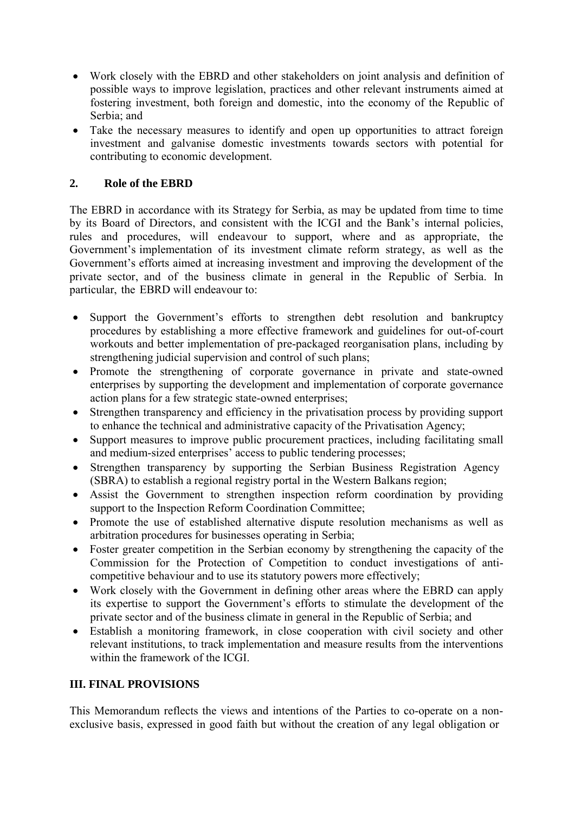- Work closely with the EBRD and other stakeholders on joint analysis and definition of possible ways to improve legislation, practices and other relevant instruments aimed at fostering investment, both foreign and domestic, into the economy of the Republic of Serbia; and
- Take the necessary measures to identify and open up opportunities to attract foreign investment and galvanise domestic investments towards sectors with potential for contributing to economic development.

## **2. Role of the EBRD**

The EBRD in accordance with its Strategy for Serbia, as may be updated from time to time by its Board of Directors, and consistent with the ICGI and the Bank's internal policies, rules and procedures, will endeavour to support, where and as appropriate, the Government's implementation of its investment climate reform strategy, as well as the Government's efforts aimed at increasing investment and improving the development of the private sector, and of the business climate in general in the Republic of Serbia. In particular, the EBRD will endeavour to:

- Support the Government's efforts to strengthen debt resolution and bankruptcy procedures by establishing a more effective framework and guidelines for out-of-court workouts and better implementation of pre-packaged reorganisation plans, including by strengthening judicial supervision and control of such plans;
- Promote the strengthening of corporate governance in private and state-owned enterprises by supporting the development and implementation of corporate governance action plans for a few strategic state-owned enterprises;
- Strengthen transparency and efficiency in the privatisation process by providing support to enhance the technical and administrative capacity of the Privatisation Agency;
- Support measures to improve public procurement practices, including facilitating small and medium-sized enterprises' access to public tendering processes;
- Strengthen transparency by supporting the Serbian Business Registration Agency (SBRA) to establish a regional registry portal in the Western Balkans region;
- Assist the Government to strengthen inspection reform coordination by providing support to the Inspection Reform Coordination Committee;
- Promote the use of established alternative dispute resolution mechanisms as well as arbitration procedures for businesses operating in Serbia;
- Foster greater competition in the Serbian economy by strengthening the capacity of the Commission for the Protection of Competition to conduct investigations of anticompetitive behaviour and to use its statutory powers more effectively;
- Work closely with the Government in defining other areas where the EBRD can apply its expertise to support the Government's efforts to stimulate the development of the private sector and of the business climate in general in the Republic of Serbia; and
- Establish a monitoring framework, in close cooperation with civil society and other relevant institutions, to track implementation and measure results from the interventions within the framework of the ICGI.

## **III. FINAL PROVISIONS**

This Memorandum reflects the views and intentions of the Parties to co-operate on a nonexclusive basis, expressed in good faith but without the creation of any legal obligation or